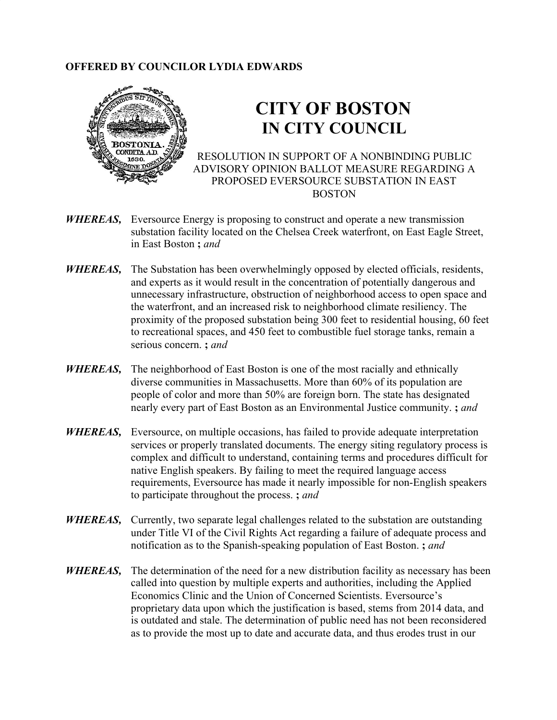## **OFFERED BY COUNCILOR LYDIA EDWARDS**



## **CITY OF BOSTON IN CITY COUNCIL**

## RESOLUTION IN SUPPORT OF A NONBINDING PUBLIC ADVISORY OPINION BALLOT MEASURE REGARDING A PROPOSED EVERSOURCE SUBSTATION IN EAST BOSTON

- *WHEREAS,* Eversource Energy is proposing to construct and operate a new transmission substation facility located on the Chelsea Creek waterfront, on East Eagle Street, in East Boston **;** *and*
- *WHEREAS,* The Substation has been overwhelmingly opposed by elected officials, residents, and experts as it would result in the concentration of potentially dangerous and unnecessary infrastructure, obstruction of neighborhood access to open space and the waterfront, and an increased risk to neighborhood climate resiliency. The proximity of the proposed substation being 300 feet to residential housing, 60 feet to recreational spaces, and 450 feet to combustible fuel storage tanks, remain a serious concern. **;** *and*
- *WHEREAS,* The neighborhood of East Boston is one of the most racially and ethnically diverse communities in Massachusetts. More than 60% of its population are people of color and more than 50% are foreign born. The state has designated nearly every part of East Boston as an Environmental Justice community. **;** *and*
- *WHEREAS,* Eversource, on multiple occasions, has failed to provide adequate interpretation services or properly translated documents. The energy siting regulatory process is complex and difficult to understand, containing terms and procedures difficult for native English speakers. By failing to meet the required language access requirements, Eversource has made it nearly impossible for non-English speakers to participate throughout the process. **;** *and*
- *WHEREAS,* Currently, two separate legal challenges related to the substation are outstanding under Title VI of the Civil Rights Act regarding a failure of adequate process and notification as to the Spanish-speaking population of East Boston. **;** *and*
- *WHEREAS,* The determination of the need for a new distribution facility as necessary has been called into question by multiple experts and authorities, including the Applied Economics Clinic and the Union of Concerned Scientists. Eversource's proprietary data upon which the justification is based, stems from 2014 data, and is outdated and stale. The determination of public need has not been reconsidered as to provide the most up to date and accurate data, and thus erodes trust in our